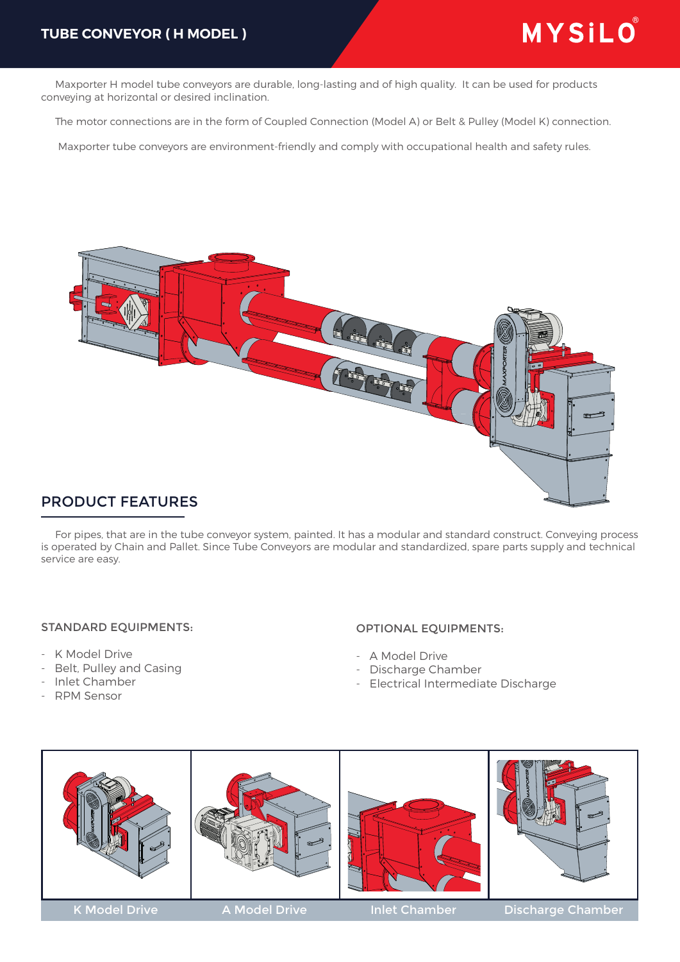Maxporter H model tube conveyors are durable, long-lasting and of high quality. It can be used for products conveying at horizontal or desired inclination.

The motor connections are in the form of Coupled Connection (Model A) or Belt & Pulley (Model K) connection.

Maxporter tube conveyors are environment-friendly and comply with occupational health and safety rules.



## PRODUCT FEATURES

 For pipes, that are in the tube conveyor system, painted. It has a modular and standard construct. Conveying process is operated by Chain and Pallet. Since Tube Conveyors are modular and standardized, spare parts supply and technical service are easy.

#### STANDARD EQUIPMENTS:

- K Model Drive
- Belt, Pulley and Casing
- Inlet Chamber
- RPM Sensor

### OPTIONAL EQUIPMENTS:

- A Model Drive
- Discharge Chamber
- Electrical Intermediate Discharge